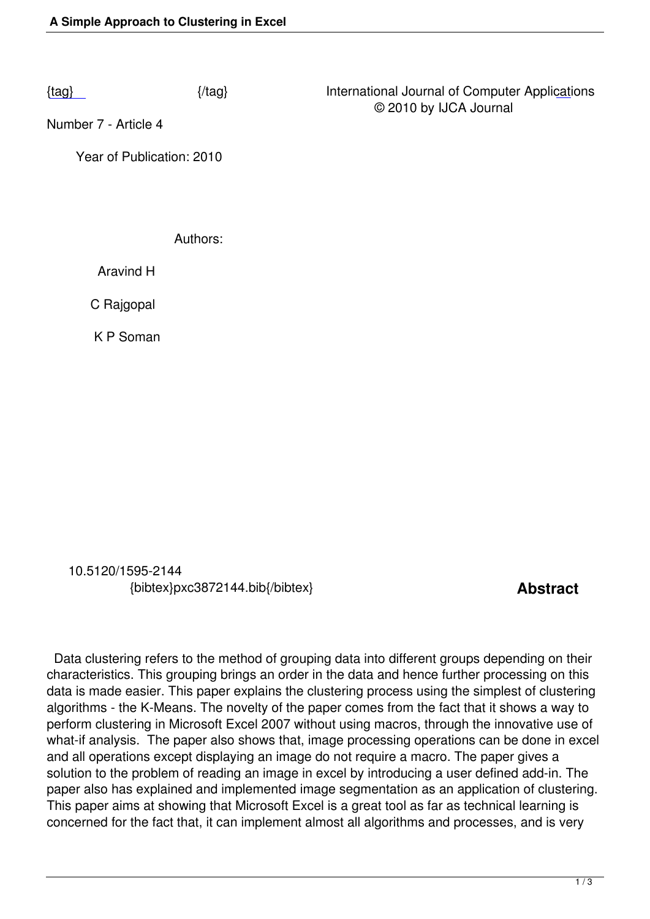Number 7 - Article 4

 [Ye](/volume11/number7/pxc3872144.pdf)ar of Publication: 2010

Authors:

Aravind H

C Rajgopal

K P Soman

 10.5120/1595-2144 {bibtex}pxc3872144.bib{/bibtex} **Abstract** 

 Data clustering refers to the method of grouping data into different groups depending on their characteristics. This grouping brings an order in the data and hence further processing on this data is made easier. This paper explains the clustering process using the simplest of clustering algorithms - the K-Means. The novelty of the paper comes from the fact that it shows a way to perform clustering in Microsoft Excel 2007 without using macros, through the innovative use of what-if analysis. The paper also shows that, image processing operations can be done in excel and all operations except displaying an image do not require a macro. The paper gives a solution to the problem of reading an image in excel by introducing a user defined add-in. The paper also has explained and implemented image segmentation as an application of clustering. This paper aims at showing that Microsoft Excel is a great tool as far as technical learning is concerned for the fact that, it can implement almost all algorithms and processes, and is very